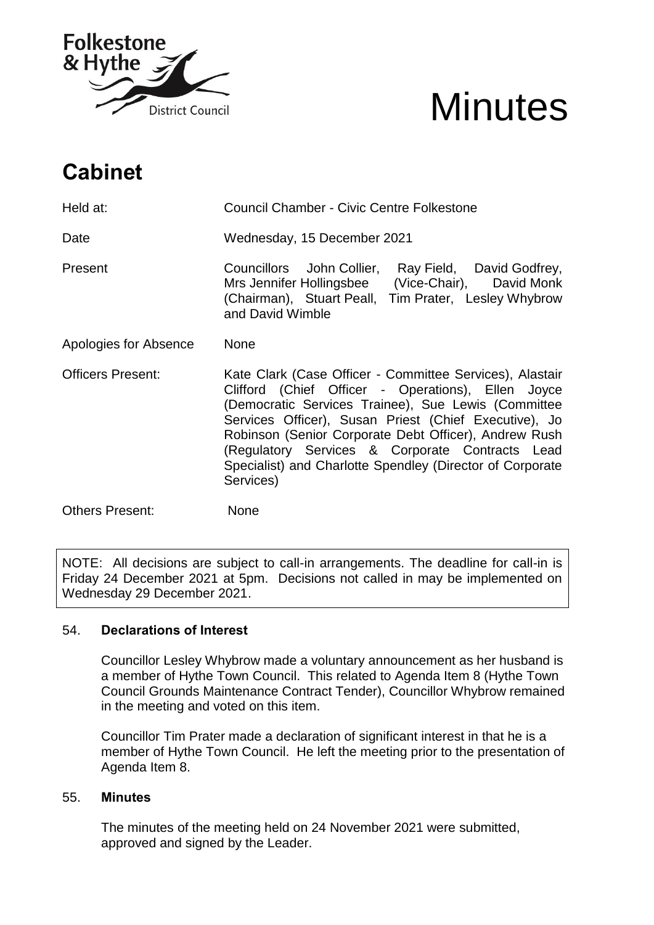

# **Minutes**

# **Cabinet**

| Held at:                 | <b>Council Chamber - Civic Centre Folkestone</b>                                                                                                                                                                                                                                                                                                                                                                     |
|--------------------------|----------------------------------------------------------------------------------------------------------------------------------------------------------------------------------------------------------------------------------------------------------------------------------------------------------------------------------------------------------------------------------------------------------------------|
| Date                     | Wednesday, 15 December 2021                                                                                                                                                                                                                                                                                                                                                                                          |
| Present                  | Ray Field, David Godfrey,<br>Councillors John Collier,<br>Mrs Jennifer Hollingsbee (Vice-Chair), David Monk<br>(Chairman), Stuart Peall, Tim Prater, Lesley Whybrow<br>and David Wimble                                                                                                                                                                                                                              |
| Apologies for Absence    | <b>None</b>                                                                                                                                                                                                                                                                                                                                                                                                          |
| <b>Officers Present:</b> | Kate Clark (Case Officer - Committee Services), Alastair<br>Clifford (Chief Officer - Operations), Ellen Joyce<br>(Democratic Services Trainee), Sue Lewis (Committee<br>Services Officer), Susan Priest (Chief Executive), Jo<br>Robinson (Senior Corporate Debt Officer), Andrew Rush<br>(Regulatory Services & Corporate Contracts Lead<br>Specialist) and Charlotte Spendley (Director of Corporate<br>Services) |
| <b>Others Present:</b>   | None                                                                                                                                                                                                                                                                                                                                                                                                                 |

NOTE: All decisions are subject to call-in arrangements. The deadline for call-in is Friday 24 December 2021 at 5pm. Decisions not called in may be implemented on Wednesday 29 December 2021.

# 54. **Declarations of Interest**

Councillor Lesley Whybrow made a voluntary announcement as her husband is a member of Hythe Town Council. This related to Agenda Item 8 (Hythe Town Council Grounds Maintenance Contract Tender), Councillor Whybrow remained in the meeting and voted on this item.

Councillor Tim Prater made a declaration of significant interest in that he is a member of Hythe Town Council. He left the meeting prior to the presentation of Agenda Item 8.

# 55. **Minutes**

The minutes of the meeting held on 24 November 2021 were submitted, approved and signed by the Leader.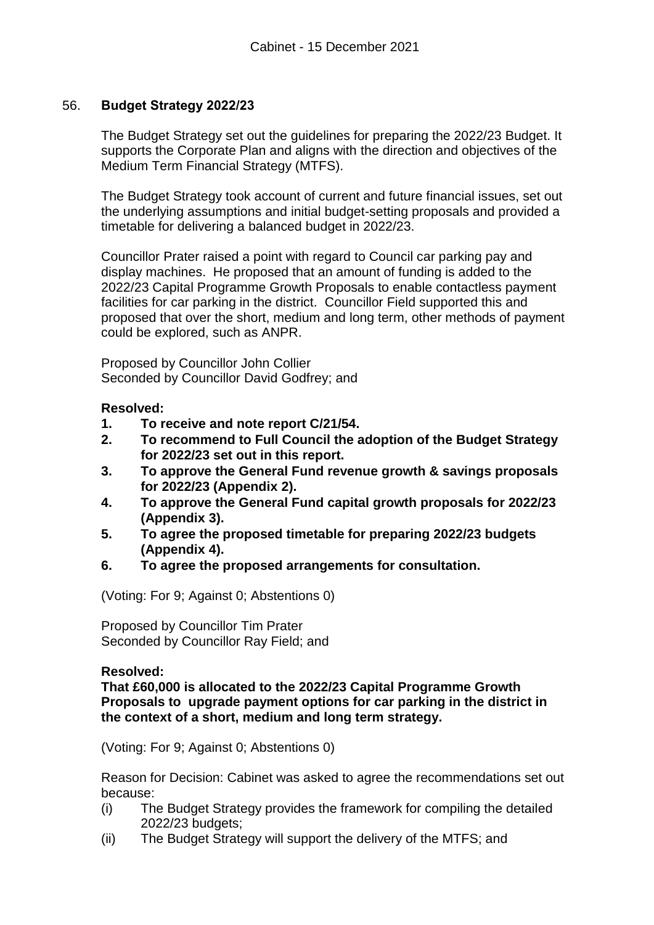# 56. **Budget Strategy 2022/23**

The Budget Strategy set out the guidelines for preparing the 2022/23 Budget. It supports the Corporate Plan and aligns with the direction and objectives of the Medium Term Financial Strategy (MTFS).

The Budget Strategy took account of current and future financial issues, set out the underlying assumptions and initial budget-setting proposals and provided a timetable for delivering a balanced budget in 2022/23.

Councillor Prater raised a point with regard to Council car parking pay and display machines. He proposed that an amount of funding is added to the 2022/23 Capital Programme Growth Proposals to enable contactless payment facilities for car parking in the district. Councillor Field supported this and proposed that over the short, medium and long term, other methods of payment could be explored, such as ANPR.

Proposed by Councillor John Collier Seconded by Councillor David Godfrey; and

# **Resolved:**

- **1. To receive and note report C/21/54.**
- **2. To recommend to Full Council the adoption of the Budget Strategy for 2022/23 set out in this report.**
- **3. To approve the General Fund revenue growth & savings proposals for 2022/23 (Appendix 2).**
- **4. To approve the General Fund capital growth proposals for 2022/23 (Appendix 3).**
- **5. To agree the proposed timetable for preparing 2022/23 budgets (Appendix 4).**
- **6. To agree the proposed arrangements for consultation.**

(Voting: For 9; Against 0; Abstentions 0)

Proposed by Councillor Tim Prater Seconded by Councillor Ray Field; and

#### **Resolved:**

**That £60,000 is allocated to the 2022/23 Capital Programme Growth Proposals to upgrade payment options for car parking in the district in the context of a short, medium and long term strategy.** 

(Voting: For 9; Against 0; Abstentions 0)

Reason for Decision: Cabinet was asked to agree the recommendations set out because:

- (i) The Budget Strategy provides the framework for compiling the detailed 2022/23 budgets;
- (ii) The Budget Strategy will support the delivery of the MTFS; and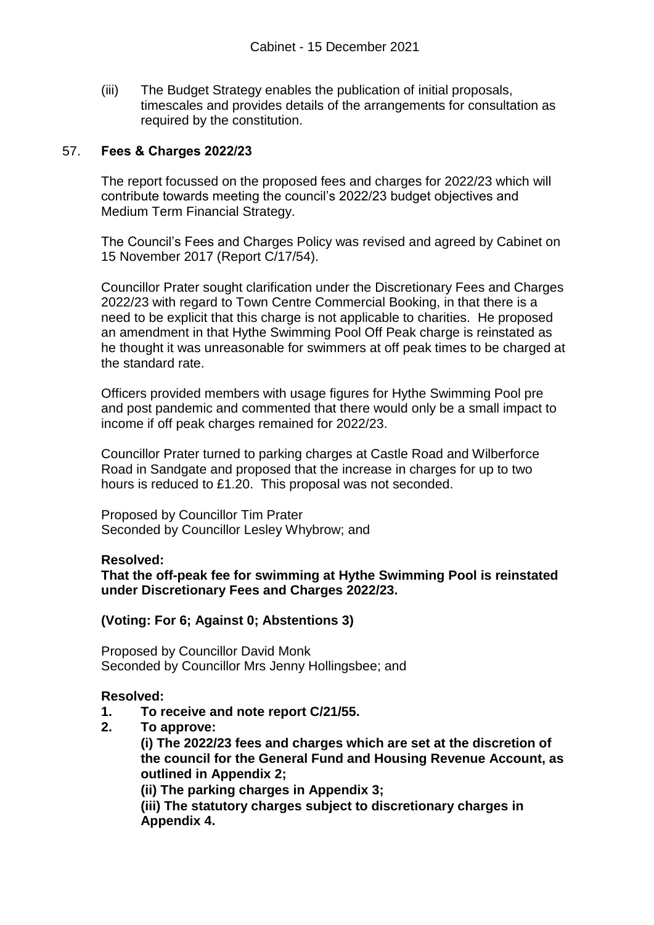(iii) The Budget Strategy enables the publication of initial proposals, timescales and provides details of the arrangements for consultation as required by the constitution.

#### 57. **Fees & Charges 2022/23**

The report focussed on the proposed fees and charges for 2022/23 which will contribute towards meeting the council's 2022/23 budget objectives and Medium Term Financial Strategy.

The Council's Fees and Charges Policy was revised and agreed by Cabinet on 15 November 2017 (Report C/17/54).

Councillor Prater sought clarification under the Discretionary Fees and Charges 2022/23 with regard to Town Centre Commercial Booking, in that there is a need to be explicit that this charge is not applicable to charities. He proposed an amendment in that Hythe Swimming Pool Off Peak charge is reinstated as he thought it was unreasonable for swimmers at off peak times to be charged at the standard rate.

Officers provided members with usage figures for Hythe Swimming Pool pre and post pandemic and commented that there would only be a small impact to income if off peak charges remained for 2022/23.

Councillor Prater turned to parking charges at Castle Road and Wilberforce Road in Sandgate and proposed that the increase in charges for up to two hours is reduced to £1.20. This proposal was not seconded.

Proposed by Councillor Tim Prater Seconded by Councillor Lesley Whybrow; and

#### **Resolved:**

**That the off-peak fee for swimming at Hythe Swimming Pool is reinstated under Discretionary Fees and Charges 2022/23.** 

#### **(Voting: For 6; Against 0; Abstentions 3)**

Proposed by Councillor David Monk Seconded by Councillor Mrs Jenny Hollingsbee; and

#### **Resolved:**

- **1. To receive and note report C/21/55.**
- **2. To approve:**

**(i) The 2022/23 fees and charges which are set at the discretion of the council for the General Fund and Housing Revenue Account, as outlined in Appendix 2;** 

**(ii) The parking charges in Appendix 3;** 

**(iii) The statutory charges subject to discretionary charges in Appendix 4.**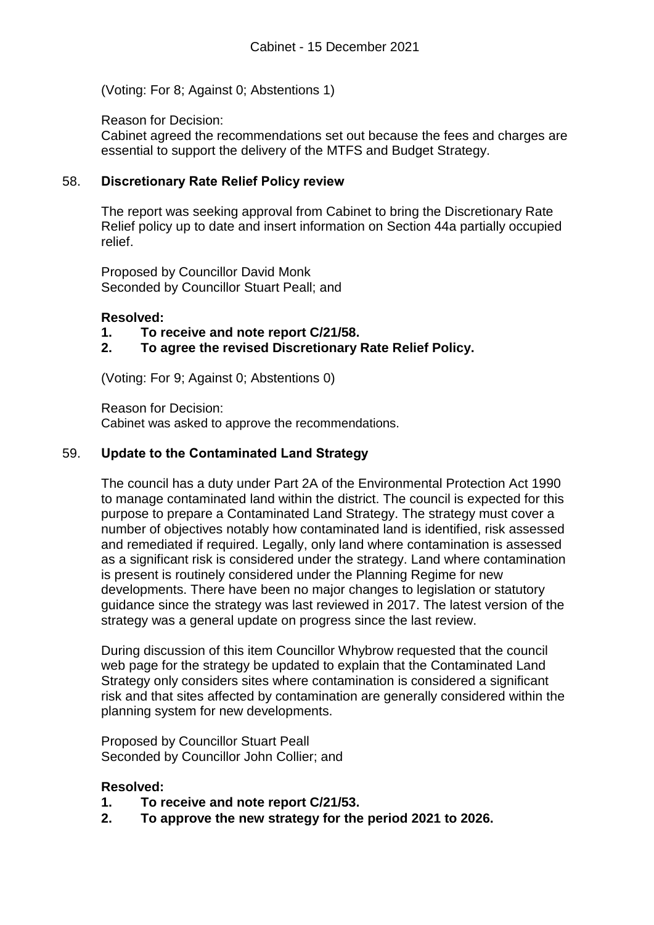(Voting: For 8; Against 0; Abstentions 1)

Reason for Decision:

Cabinet agreed the recommendations set out because the fees and charges are essential to support the delivery of the MTFS and Budget Strategy.

# 58. **Discretionary Rate Relief Policy review**

The report was seeking approval from Cabinet to bring the Discretionary Rate Relief policy up to date and insert information on Section 44a partially occupied relief.

Proposed by Councillor David Monk Seconded by Councillor Stuart Peall; and

#### **Resolved:**

- **1. To receive and note report C/21/58.**
- **2. To agree the revised Discretionary Rate Relief Policy.**

(Voting: For 9; Against 0; Abstentions 0)

Reason for Decision: Cabinet was asked to approve the recommendations.

#### 59. **Update to the Contaminated Land Strategy**

The council has a duty under Part 2A of the Environmental Protection Act 1990 to manage contaminated land within the district. The council is expected for this purpose to prepare a Contaminated Land Strategy. The strategy must cover a number of objectives notably how contaminated land is identified, risk assessed and remediated if required. Legally, only land where contamination is assessed as a significant risk is considered under the strategy. Land where contamination is present is routinely considered under the Planning Regime for new developments. There have been no major changes to legislation or statutory guidance since the strategy was last reviewed in 2017. The latest version of the strategy was a general update on progress since the last review.

During discussion of this item Councillor Whybrow requested that the council web page for the strategy be updated to explain that the Contaminated Land Strategy only considers sites where contamination is considered a significant risk and that sites affected by contamination are generally considered within the planning system for new developments.

Proposed by Councillor Stuart Peall Seconded by Councillor John Collier; and

#### **Resolved:**

- **1. To receive and note report C/21/53.**
- **2. To approve the new strategy for the period 2021 to 2026.**